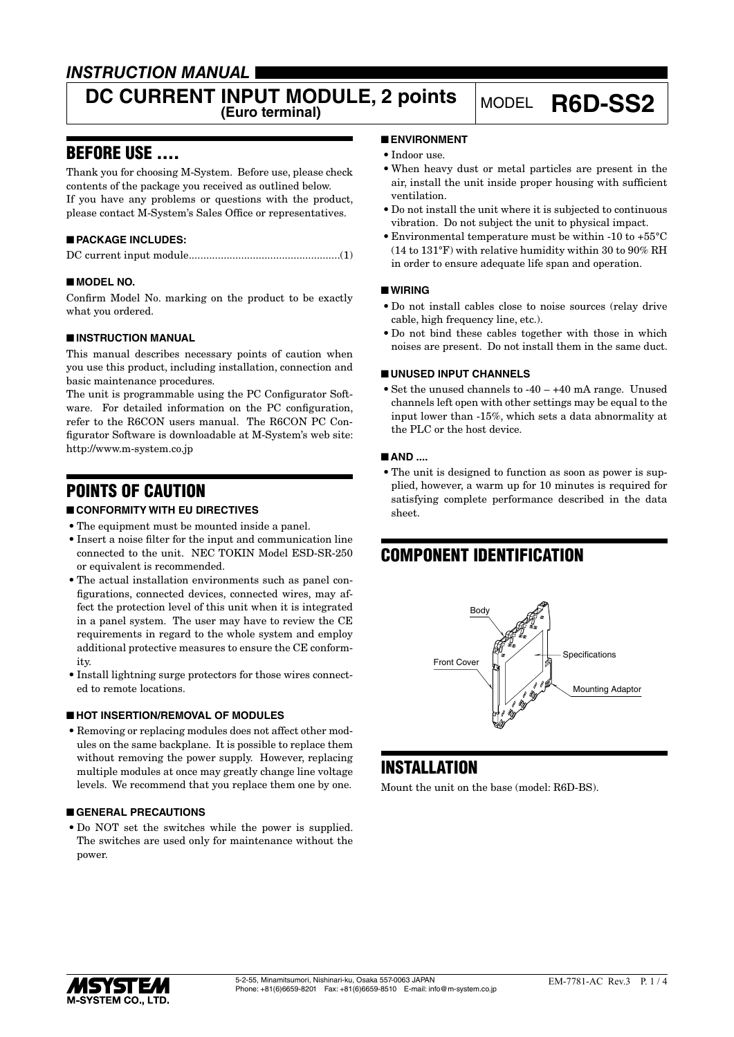### *INSTRUCTION MANUAL*

# **DC CURRENT INPUT MODULE, 2 points** MODEL **R6D-SS2**

### BEFORE USE ....

Thank you for choosing M-System. Before use, please check contents of the package you received as outlined below. If you have any problems or questions with the product, please contact M-System's Sales Office or representatives.

### ■ **PACKAGE INCLUDES:**

### ■ **MODEL NO.**

Confirm Model No. marking on the product to be exactly what you ordered.

### ■ **INSTRUCTION MANUAL**

This manual describes necessary points of caution when you use this product, including installation, connection and basic maintenance procedures.

The unit is programmable using the PC Configurator Software. For detailed information on the PC configuration, refer to the R6CON users manual. The R6CON PC Configurator Software is downloadable at M-System's web site: http://www.m-system.co.jp

### POINTS OF CAUTION

### ■ **CONFORMITY WITH EU DIRECTIVES**

- The equipment must be mounted inside a panel.
- • Insert a noise filter for the input and communication line connected to the unit. NEC TOKIN Model ESD-SR-250 or equivalent is recommended.
- The actual installation environments such as panel configurations, connected devices, connected wires, may affect the protection level of this unit when it is integrated in a panel system. The user may have to review the CE requirements in regard to the whole system and employ additional protective measures to ensure the CE conformity.
- Install lightning surge protectors for those wires connected to remote locations.

### ■ **HOT INSERTION/REMOVAL OF MODULES**

• Removing or replacing modules does not affect other modules on the same backplane. It is possible to replace them without removing the power supply. However, replacing multiple modules at once may greatly change line voltage levels. We recommend that you replace them one by one.

### ■ **GENERAL PRECAUTIONS**

• Do NOT set the switches while the power is supplied. The switches are used only for maintenance without the power.

### ■ **ENVIRONMENT**

- Indoor use.
- • When heavy dust or metal particles are present in the air, install the unit inside proper housing with sufficient ventilation.
- • Do not install the unit where it is subjected to continuous vibration. Do not subject the unit to physical impact.
- • Environmental temperature must be within -10 to +55°C (14 to 131°F) with relative humidity within 30 to 90% RH in order to ensure adequate life span and operation.

### ■ **WIRING**

- • Do not install cables close to noise sources (relay drive cable, high frequency line, etc.).
- Do not bind these cables together with those in which noises are present. Do not install them in the same duct.

### ■ **UNUSED INPUT CHANNELS**

• Set the unused channels to  $-40 - +40$  mA range. Unused channels left open with other settings may be equal to the input lower than -15%, which sets a data abnormality at the PLC or the host device.

### ■ **AND ....**

• The unit is designed to function as soon as power is supplied, however, a warm up for 10 minutes is required for satisfying complete performance described in the data sheet.

## COMPONENT IDENTIFICATION



### **INSTALLATION**

Mount the unit on the base (model: R6D-BS).

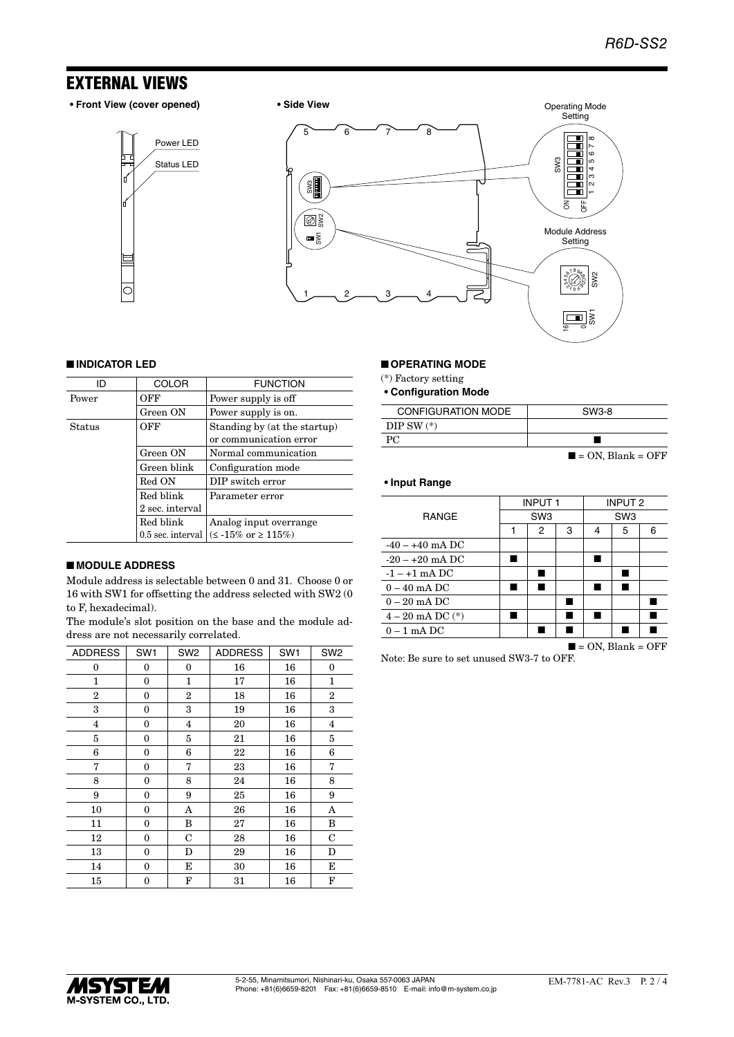### EXTERNAL VIEWS

I

**• Front View (cover opened) • Side View**





### ■ **INDICATOR LED**

| חו     | <b>COLOR</b>      | <b>FUNCTION</b>                                        |
|--------|-------------------|--------------------------------------------------------|
| Power  | OFF               | Power supply is off                                    |
|        | Green ON          | Power supply is on.                                    |
| Status | OFF               | Standing by (at the startup)<br>or communication error |
|        | Green ON          | Normal communication                                   |
|        | Green blink       | Configuration mode                                     |
|        | Red ON            | DIP switch error                                       |
|        | Red blink         | Parameter error                                        |
|        | 2 sec. interval   |                                                        |
|        | Red blink         | Analog input overrange                                 |
|        | 0.5 sec. interval | $(< 15\% \text{ or } \geq 115\%)$                      |

### ■ **MODULE ADDRESS**

Module address is selectable between 0 and 31. Choose 0 or 16 with SW1 for offsetting the address selected with SW2 (0 to F, hexadecimal).

The module's slot position on the base and the module address are not necessarily correlated.

| <b>ADDRESS</b> | SW <sub>1</sub> | SW <sub>2</sub> | <b>ADDRESS</b> | SW <sub>1</sub> | SW <sub>2</sub> |
|----------------|-----------------|-----------------|----------------|-----------------|-----------------|
| 0              | 0               | 0               | 16             | 16              | 0               |
| 1              | 0               | 1               | 17             | 16              | $\mathbf{1}$    |
| $\overline{2}$ | 0               | 2               | 18             | 16              | $\overline{2}$  |
| 3              | 0               | 3               | 19             | 16              | 3               |
| 4              | 0               | $\overline{4}$  | 20             | 16              | $\overline{4}$  |
| 5              | 0               | 5               | 21             | 16              | 5               |
| 6              | 0               | 6               | 22             | 16              | 6               |
| 7              | 0               | 7               | 23             | 16              | 7               |
| 8              | 0               | 8               | 24             | 16              | 8               |
| 9              | 0               | 9               | 25             | 16              | 9               |
| 10             | 0               | Α               | 26             | 16              | Α               |
| 11             | 0               | B               | 27             | 16              | B               |
| 12             | 0               | C               | 28             | 16              | $\mathbf C$     |
| 13             | 0               | D               | 29             | 16              | D               |
| 14             | 0               | Е               | 30             | 16              | E               |
| 15             | 0               | F               | 31             | 16              | F               |

#### ■ **OPERATING MODE**

(\*) Factory setting

**• Configuration Mode**

| <b>CONFIGURATION MODE</b> | SW3-8                            |
|---------------------------|----------------------------------|
| DIP SW $(*)$              |                                  |
| PC.                       |                                  |
|                           | $\blacksquare$ = ON, Blank = OFF |

#### **• Input Range**

|                      | <b>INPUT1</b>   |   | <b>INPUT 2</b>  |   |   |                                  |
|----------------------|-----------------|---|-----------------|---|---|----------------------------------|
| <b>RANGE</b>         | SW <sub>3</sub> |   | SW <sub>3</sub> |   |   |                                  |
|                      | 1               | 2 | 3               | 4 | 5 | 6                                |
| $-40 - +40$ mA DC    |                 |   |                 |   |   |                                  |
| $-20 - +20$ mA DC    |                 |   |                 |   |   |                                  |
| $-1 - +1$ mA DC      |                 |   |                 |   |   |                                  |
| $0 - 40$ mA DC       | ٠               |   |                 |   |   |                                  |
| $0-20$ mA DC         |                 |   |                 |   |   |                                  |
| $4 - 20$ mA DC $(*)$ |                 |   |                 |   |   |                                  |
| $0 - 1$ mA DC        |                 |   |                 |   |   |                                  |
|                      |                 |   |                 |   |   | $\blacksquare$ = ON, Blank = OFF |

Note: Be sure to set unused SW3-7 to OFF.

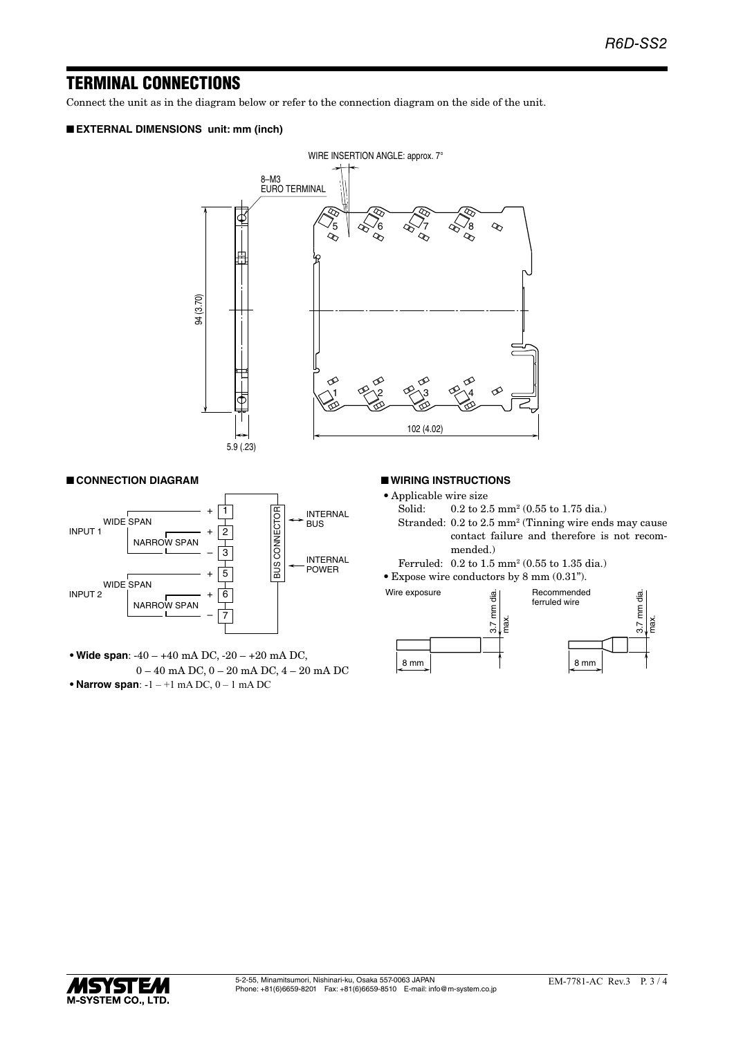### TERMINAL CONNECTIONS

Connect the unit as in the diagram below or refer to the connection diagram on the side of the unit.

### ■ **EXTERNAL DIMENSIONS unit: mm (inch)**



### ■ **CONNECTION DIAGRAM**



**• Wide span**: -40 – +40 mA DC, -20 – +20 mA DC, 0 – 40 mA DC, 0 – 20 mA DC, 4 – 20 mA DC **• Narrow span**: -1 – +1 mA DC, 0 – 1 mA DC

#### ■ **WIRING INSTRUCTIONS**

- Applicable wire size<br>Solid:  $0.2$  to  $2$ .
- Solid: 0.2 to 2.5 mm<sup>2</sup> (0.55 to 1.75 dia.)
- Stranded: 0.2 to 2.5 mm<sup>2</sup> (Tinning wire ends may cause contact failure and therefore is not recommended.)
- Ferruled: 0.2 to 1.5 mm2 (0.55 to 1.35 dia.)
- • Expose wire conductors by 8 mm (0.31").